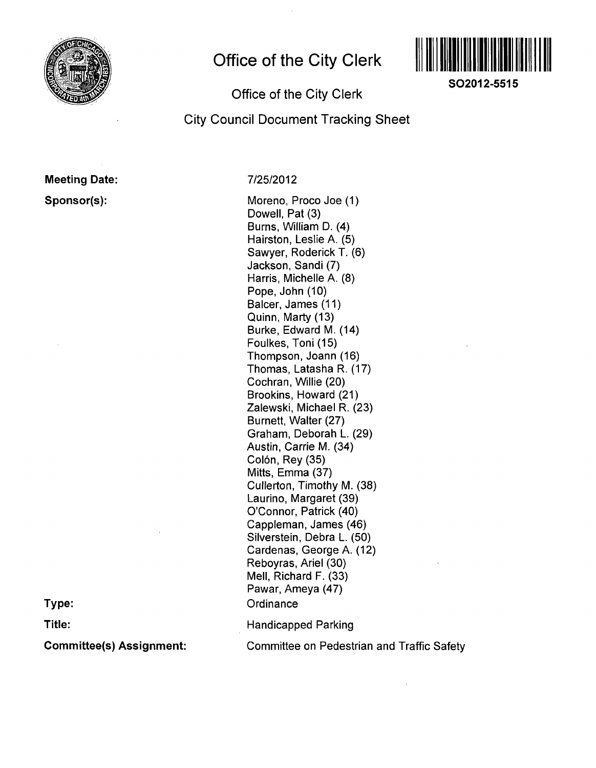

## **Office of the City Clerk**



**SO2012-5515** 

### Office of the City Clerk

City Council Document Tracking Sheet

# Meeting Date:

Sponsor(s):

7/25/2012

Moreno, Proco Joe (1) Dowell, Pat (3) Burns, William D. (4) Hairston, Leslie A. (5) Sawyer, Roderick T. (6) Jackson, Sandi (7) Harris, Michelle A. (8) Pope, John (10) Balcer, James (11) Quinn, Marty (13) Burke, Edward M. (14) Foulkes, Toni (15) Thompson, Joann (16) Thomas, Latasha R. (17) Cochran, Willie (20) Brookins, Howard (21) Zalewski, Michael R. (23) Burnett, Walter (27) Graham, Deborah L. (29) Austin, Carrie M. (34) Colón, Rey (35) Mitts, Emma (37) Cullerton, Timothy M. (38) Laurino, Margaret (39) O'Connor, Patrick (40) Cappleman, James (46) Silverstein, Debra L. (50) Cardenas, George A. (12) Reboyras, Ariel (30) Mell, Richard F. (33) Pawar, Ameya (47) **Ordinance** Handicapped Parking

**Type:** 

**Title:** 

Committee(s) Assignment:

Committee on Pedestrian and Traffic Safety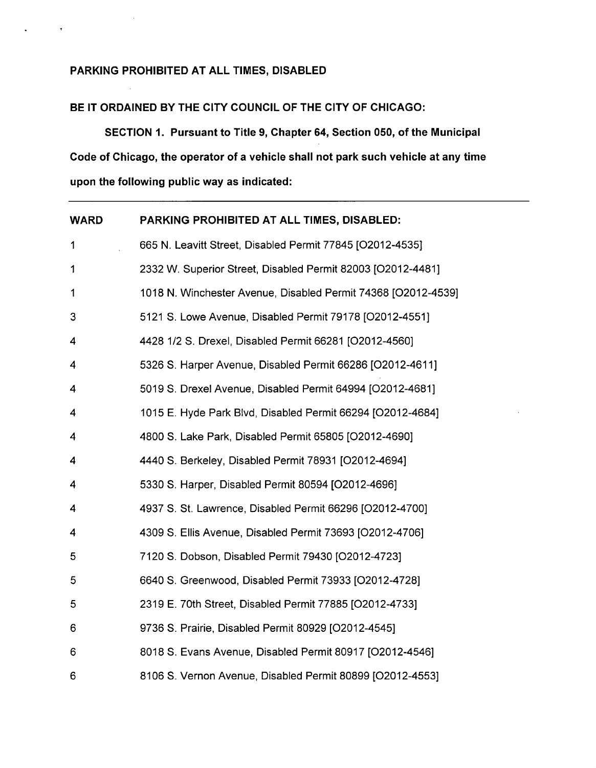#### **PARKING PROHIBITED AT ALL TIMES, DISABLED**

 $\mathcal{A}$ 

 $\star$ 

### **BE IT ORDAINED BY THE CITY COUNCIL OF THE CITY OF CHICAGO:**

**SECTION 1. Pursuant to Title 9, Chapter 64, Section 050, of the Municipal Code of Chicago, the operator of a vehicle shall not park such vehicle at any time upon the following public way as indicated:** 

| <b>WARD</b>  | PARKING PROHIBITED AT ALL TIMES, DISABLED:                    |
|--------------|---------------------------------------------------------------|
| 1            | 665 N. Leavitt Street, Disabled Permit 77845 [O2012-4535]     |
| $\mathbf{1}$ | 2332 W. Superior Street, Disabled Permit 82003 [O2012-4481]   |
| 1            | 1018 N. Winchester Avenue, Disabled Permit 74368 [O2012-4539] |
| 3            | 5121 S. Lowe Avenue, Disabled Permit 79178 [O2012-4551]       |
| 4            | 4428 1/2 S. Drexel, Disabled Permit 66281 [O2012-4560]        |
| 4            | 5326 S. Harper Avenue, Disabled Permit 66286 [O2012-4611]     |
| 4            | 5019 S. Drexel Avenue, Disabled Permit 64994 [O2012-4681]     |
| 4            | 1015 E. Hyde Park Blvd, Disabled Permit 66294 [O2012-4684]    |
| 4            | 4800 S. Lake Park, Disabled Permit 65805 [O2012-4690]         |
| 4            | 4440 S. Berkeley, Disabled Permit 78931 [O2012-4694]          |
| 4            | 5330 S. Harper, Disabled Permit 80594 [O2012-4696]            |
| 4            | 4937 S. St. Lawrence, Disabled Permit 66296 [O2012-4700]      |
| 4            | 4309 S. Ellis Avenue, Disabled Permit 73693 [O2012-4706]      |
| 5            | 7120 S. Dobson, Disabled Permit 79430 [O2012-4723]            |
| 5            | 6640 S. Greenwood, Disabled Permit 73933 [O2012-4728]         |
| 5            | 2319 E. 70th Street, Disabled Permit 77885 [O2012-4733]       |
| 6            | 9736 S. Prairie, Disabled Permit 80929 [O2012-4545]           |
| 6            | 8018 S. Evans Avenue, Disabled Permit 80917 [O2012-4546]      |
| 6            | 8106 S. Vernon Avenue, Disabled Permit 80899 [O2012-4553]     |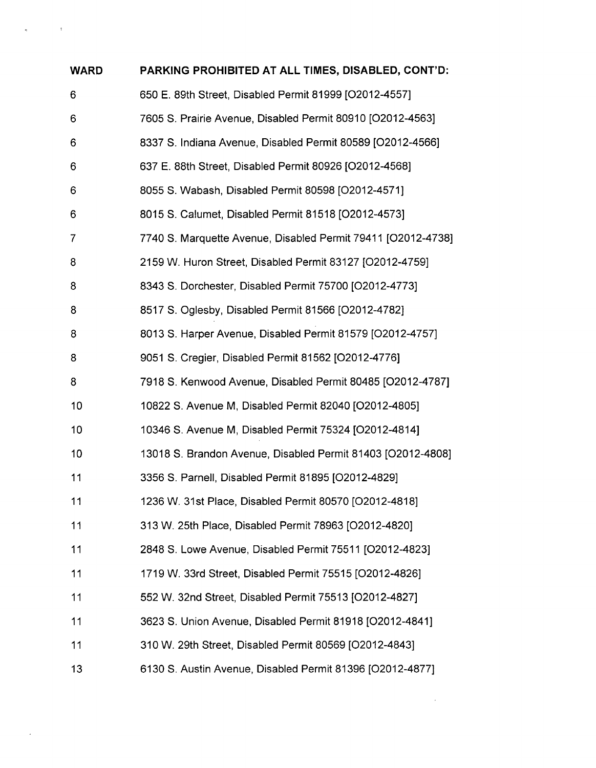| <b>WARD</b> | PARKING PROHIBITED AT ALL TIMES, DISABLED, CONT'D:           |
|-------------|--------------------------------------------------------------|
| 6           | 650 E. 89th Street, Disabled Permit 81999 [O2012-4557]       |
| 6           | 7605 S. Prairie Avenue, Disabled Permit 80910 [O2012-4563]   |
| 6           | 8337 S. Indiana Avenue, Disabled Permit 80589 [O2012-4566]   |
| 6           | 637 E. 88th Street, Disabled Permit 80926 [O2012-4568]       |
| 6           | 8055 S. Wabash, Disabled Permit 80598 [O2012-4571]           |
| 6           | 8015 S. Calumet, Disabled Permit 81518 [O2012-4573]          |
| 7           | 7740 S. Marquette Avenue, Disabled Permit 79411 [O2012-4738] |
| 8           | 2159 W. Huron Street, Disabled Permit 83127 [O2012-4759]     |
| 8           | 8343 S. Dorchester, Disabled Permit 75700 [O2012-4773]       |
| 8           | 8517 S. Oglesby, Disabled Permit 81566 [O2012-4782]          |
| 8           | 8013 S. Harper Avenue, Disabled Permit 81579 [O2012-4757]    |
| 8           | 9051 S. Cregier, Disabled Permit 81562 [O2012-4776]          |
| 8           | 7918 S. Kenwood Avenue, Disabled Permit 80485 [O2012-4787]   |
| 10          | 10822 S. Avenue M, Disabled Permit 82040 [O2012-4805]        |
| 10          | 10346 S. Avenue M, Disabled Permit 75324 [O2012-4814]        |
| 10          | 13018 S. Brandon Avenue, Disabled Permit 81403 [O2012-4808]  |
| 11          | 3356 S. Parnell, Disabled Permit 81895 [O2012-4829]          |
| 11          | 1236 W. 31st Place, Disabled Permit 80570 [O2012-4818]       |
| 11          | 313 W. 25th Place, Disabled Permit 78963 [O2012-4820]        |
| 11          | 2848 S. Lowe Avenue, Disabled Permit 75511 [O2012-4823]      |
| 11          | 1719 W. 33rd Street, Disabled Permit 75515 [O2012-4826]      |
| 11          | 552 W. 32nd Street, Disabled Permit 75513 [O2012-4827]       |
| 11          | 3623 S. Union Avenue, Disabled Permit 81918 [O2012-4841]     |
| 11          | 310 W. 29th Street, Disabled Permit 80569 [O2012-4843]       |
| 13          | 6130 S. Austin Avenue, Disabled Permit 81396 [O2012-4877]    |

 $\label{eq:2.1} \mathfrak{g}_{\mathbb{C}^n}(\mathbb{C}^n) = \mathbb{C}^n \mathbb{C}^n \times \mathbb{C}^n$ 

 $\mathcal{L}(\mathcal{A})$  and  $\mathcal{L}(\mathcal{A})$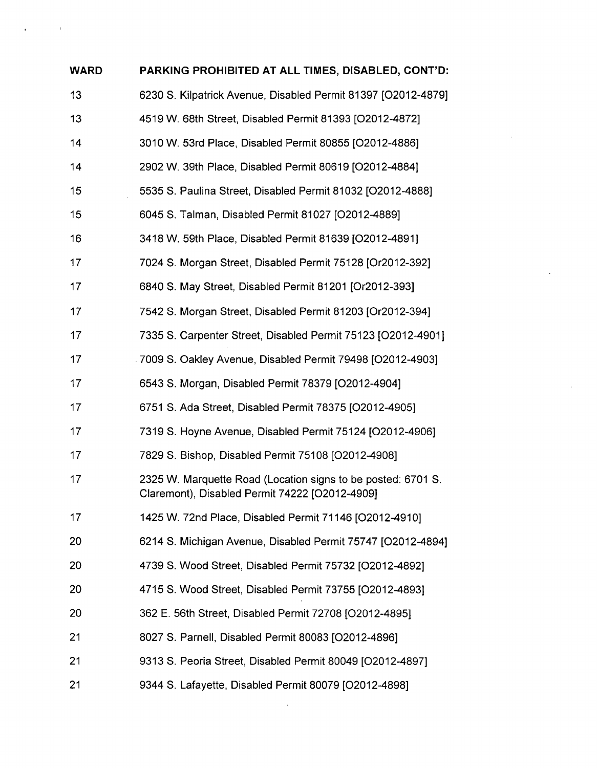| <b>WARD</b> | PARKING PROHIBITED AT ALL TIMES, DISABLED, CONT'D:                                                             |
|-------------|----------------------------------------------------------------------------------------------------------------|
| 13          | 6230 S. Kilpatrick Avenue, Disabled Permit 81397 [O2012-4879]                                                  |
| 13          | 4519 W. 68th Street, Disabled Permit 81393 [O2012-4872]                                                        |
| 14          | 3010 W. 53rd Place, Disabled Permit 80855 [O2012-4886]                                                         |
| 14          | 2902 W. 39th Place, Disabled Permit 80619 [O2012-4884]                                                         |
| 15          | 5535 S. Paulina Street, Disabled Permit 81032 [O2012-4888]                                                     |
| 15          | 6045 S. Talman, Disabled Permit 81027 [O2012-4889]                                                             |
| 16          | 3418 W. 59th Place, Disabled Permit 81639 [O2012-4891]                                                         |
| 17          | 7024 S. Morgan Street, Disabled Permit 75128 [Or2012-392]                                                      |
| 17          | 6840 S. May Street, Disabled Permit 81201 [Or2012-393]                                                         |
| 17          | 7542 S. Morgan Street, Disabled Permit 81203 [Or2012-394]                                                      |
| 17          | 7335 S. Carpenter Street, Disabled Permit 75123 [O2012-4901]                                                   |
| 17          | 7009 S. Oakley Avenue, Disabled Permit 79498 [O2012-4903]                                                      |
| 17          | 6543 S. Morgan, Disabled Permit 78379 [O2012-4904]                                                             |
| 17          | 6751 S. Ada Street, Disabled Permit 78375 [O2012-4905]                                                         |
| 17          | 7319 S. Hoyne Avenue, Disabled Permit 75124 [O2012-4906]                                                       |
| 17          | 7829 S. Bishop, Disabled Permit 75108 [O2012-4908]                                                             |
| 17          | 2325 W. Marquette Road (Location signs to be posted: 6701 S.<br>Claremont), Disabled Permit 74222 [O2012-4909] |
| 17          | 1425 W. 72nd Place, Disabled Permit 71146 [O2012-4910]                                                         |
| 20          | 6214 S. Michigan Avenue, Disabled Permit 75747 [O2012-4894]                                                    |
| 20          | 4739 S. Wood Street, Disabled Permit 75732 [O2012-4892]                                                        |
| 20          | 4715 S. Wood Street, Disabled Permit 73755 [O2012-4893]                                                        |
| 20          | 362 E. 56th Street, Disabled Permit 72708 [O2012-4895]                                                         |
| 21          | 8027 S. Parnell, Disabled Permit 80083 [O2012-4896]                                                            |
| 21          | 9313 S. Peoria Street, Disabled Permit 80049 [O2012-4897]                                                      |
| 21          | 9344 S. Lafayette, Disabled Permit 80079 [O2012-4898]                                                          |

 $\sim 10^{-11}$ 

 $\label{eq:2.1} \frac{1}{\sqrt{2}}\int_{\mathbb{R}^3}\frac{1}{\sqrt{2}}\left(\frac{1}{\sqrt{2}}\right)^2\frac{1}{\sqrt{2}}\left(\frac{1}{\sqrt{2}}\right)^2\frac{1}{\sqrt{2}}\left(\frac{1}{\sqrt{2}}\right)^2\frac{1}{\sqrt{2}}\left(\frac{1}{\sqrt{2}}\right)^2.$ 

 $\label{eq:2.1} \frac{1}{\sqrt{2}}\int_{\mathbb{R}^3}\frac{1}{\sqrt{2}}\left(\frac{1}{\sqrt{2}}\right)^2\frac{1}{\sqrt{2}}\left(\frac{1}{\sqrt{2}}\right)^2\frac{1}{\sqrt{2}}\left(\frac{1}{\sqrt{2}}\right)^2.$ 

 $\mathcal{L}^{\text{max}}_{\text{max}}$ 

 $\mathbf{A}^{(n)}$  and  $\mathbf{A}^{(n)}$  and  $\mathbf{A}^{(n)}$  and  $\mathbf{A}^{(n)}$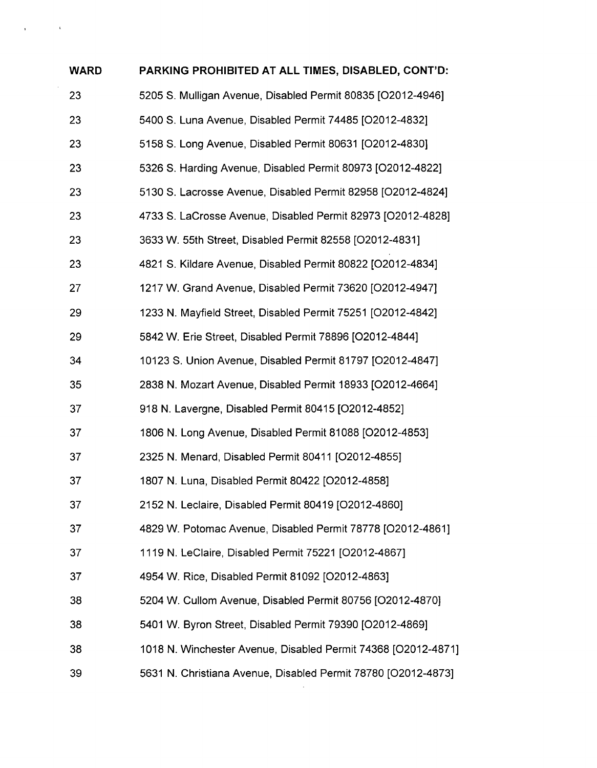| <b>WARD</b> | PARKING PROHIBITED AT ALL TIMES, DISABLED, CONT'D:            |
|-------------|---------------------------------------------------------------|
| 23          | 5205 S. Mulligan Avenue, Disabled Permit 80835 [O2012-4946]   |
| 23          | 5400 S. Luna Avenue, Disabled Permit 74485 [O2012-4832]       |
| 23          | 5158 S. Long Avenue, Disabled Permit 80631 [O2012-4830]       |
| 23          | 5326 S. Harding Avenue, Disabled Permit 80973 [O2012-4822]    |
| 23          | 5130 S. Lacrosse Avenue, Disabled Permit 82958 [O2012-4824]   |
| 23          | 4733 S. LaCrosse Avenue, Disabled Permit 82973 [O2012-4828]   |
| 23          | 3633 W. 55th Street, Disabled Permit 82558 [O2012-4831]       |
| 23          | 4821 S. Kildare Avenue, Disabled Permit 80822 [O2012-4834]    |
| 27          | 1217 W. Grand Avenue, Disabled Permit 73620 [O2012-4947]      |
| 29          | 1233 N. Mayfield Street, Disabled Permit 75251 [O2012-4842]   |
| 29          | 5842 W. Erie Street, Disabled Permit 78896 [O2012-4844]       |
| 34          | 10123 S. Union Avenue, Disabled Permit 81797 [O2012-4847]     |
| 35          | 2838 N. Mozart Avenue, Disabled Permit 18933 [O2012-4664]     |
| 37          | 918 N. Lavergne, Disabled Permit 80415 [O2012-4852]           |
| 37          | 1806 N. Long Avenue, Disabled Permit 81088 [O2012-4853]       |
| 37          | 2325 N. Menard, Disabled Permit 80411 [O2012-4855]            |
| 37          | 1807 N. Luna, Disabled Permit 80422 [O2012-4858]              |
| 37          | 2152 N. Leclaire, Disabled Permit 80419 [O2012-4860]          |
| 37          | 4829 W. Potomac Avenue, Disabled Permit 78778 [O2012-4861]    |
| 37          | 1119 N. LeClaire, Disabled Permit 75221 [O2012-4867]          |
| 37          | 4954 W. Rice, Disabled Permit 81092 [O2012-4863]              |
| 38          | 5204 W. Cullom Avenue, Disabled Permit 80756 [O2012-4870]     |
| 38          | 5401 W. Byron Street, Disabled Permit 79390 [O2012-4869]      |
| 38          | 1018 N. Winchester Avenue, Disabled Permit 74368 [O2012-4871] |
| 39          | 5631 N. Christiana Avenue, Disabled Permit 78780 [O2012-4873] |

 $\label{eq:2.1} \frac{1}{2} \int_{\mathbb{R}^3} \left| \frac{1}{\sqrt{2}} \right| \, d\mu = \frac{1}{2} \int_{\mathbb{R}^3} \left| \frac{1}{\sqrt{2}} \right| \, d\mu = \frac{1}{2} \int_{\mathbb{R}^3} \left| \frac{1}{\sqrt{2}} \right| \, d\mu = \frac{1}{2} \int_{\mathbb{R}^3} \left| \frac{1}{\sqrt{2}} \right| \, d\mu = \frac{1}{2} \int_{\mathbb{R}^3} \left| \frac{1}{\sqrt{2}} \right| \, d\mu = \frac{1}{2$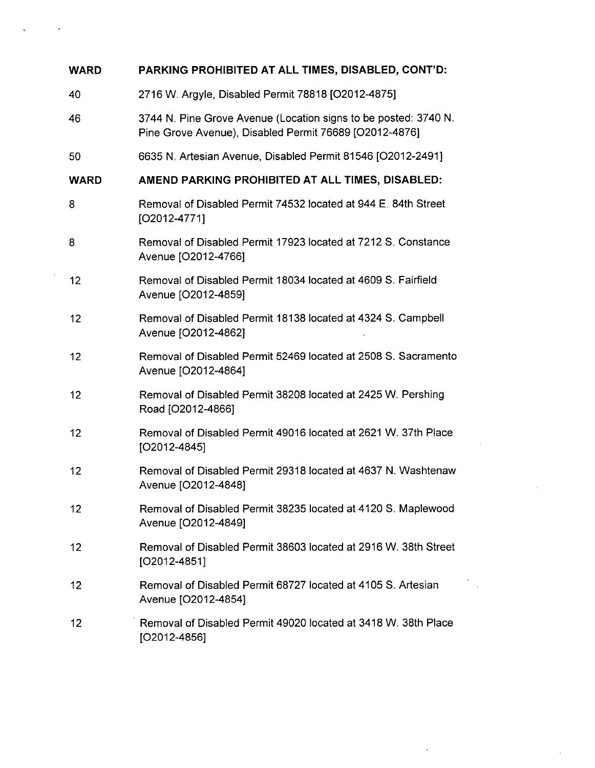| <b>WARD</b> | PARKING PROHIBITED AT ALL TIMES, DISABLED, CONT'D:                                                                        |
|-------------|---------------------------------------------------------------------------------------------------------------------------|
| 40          | 2716 W. Argyle, Disabled Permit 78818 [O2012-4875]                                                                        |
| 46          | 3744 N. Pine Grove Avenue (Location signs to be posted: 3740 N.<br>Pine Grove Avenue), Disabled Permit 76689 [O2012-4876] |
| 50          | 6635 N. Artesian Avenue, Disabled Permit 81546 [O2012-2491]                                                               |
| <b>WARD</b> | AMEND PARKING PROHIBITED AT ALL TIMES, DISABLED:                                                                          |
| 8           | Removal of Disabled Permit 74532 located at 944 E. 84th Street<br>$[O2012-4771]$                                          |
| 8           | Removal of Disabled Permit 17923 located at 7212 S. Constance<br>Avenue [O2012-4766]                                      |
| 12          | Removal of Disabled Permit 18034 located at 4609 S. Fairfield<br>Avenue [O2012-4859]                                      |
| 12          | Removal of Disabled Permit 18138 located at 4324 S. Campbell<br>Avenue [O2012-4862]                                       |
| 12          | Removal of Disabled Permit 52469 located at 2508 S. Sacramento<br>Avenue [O2012-4864]                                     |
| 12          | Removal of Disabled Permit 38208 located at 2425 W. Pershing<br>Road [O2012-4866]                                         |
| 12          | Removal of Disabled Permit 49016 located at 2621 W. 37th Place<br>$[O2012 - 4845]$                                        |
| 12          | Removal of Disabled Permit 29318 located at 4637 N. Washtenaw<br>Avenue [O2012-4848]                                      |
| 12          | Removal of Disabled Permit 38235 located at 4120 S. Maplewood<br>Avenue [O2012-4849]                                      |
| 12          | Removal of Disabled Permit 38603 located at 2916 W. 38th Street<br>$[O2012 - 4851]$                                       |
| 12          | Removal of Disabled Permit 68727 located at 4105 S. Artesian<br>Avenue [O2012-4854]                                       |
| 12          | Removal of Disabled Permit 49020 located at 3418 W. 38th Place<br>$[O2012-4856]$                                          |

 $\label{eq:2.1} \frac{1}{\sqrt{2}}\int_{\mathbb{R}^3}\frac{1}{\sqrt{2}}\left(\frac{1}{\sqrt{2}}\right)^2\frac{1}{\sqrt{2}}\left(\frac{1}{\sqrt{2}}\right)^2\frac{1}{\sqrt{2}}\left(\frac{1}{\sqrt{2}}\right)^2\frac{1}{\sqrt{2}}\left(\frac{1}{\sqrt{2}}\right)^2.$ 

 $\mathcal{L}^{(1)}$ 

 $\Delta \sim 10^4$ 

 $\label{eq:2.1} \mathfrak{g}_{\mathbb{C}}(x) = \mathfrak{g}_{\mathbb{C}}(x) \mathfrak{g}_{\mathbb{C}}(x)$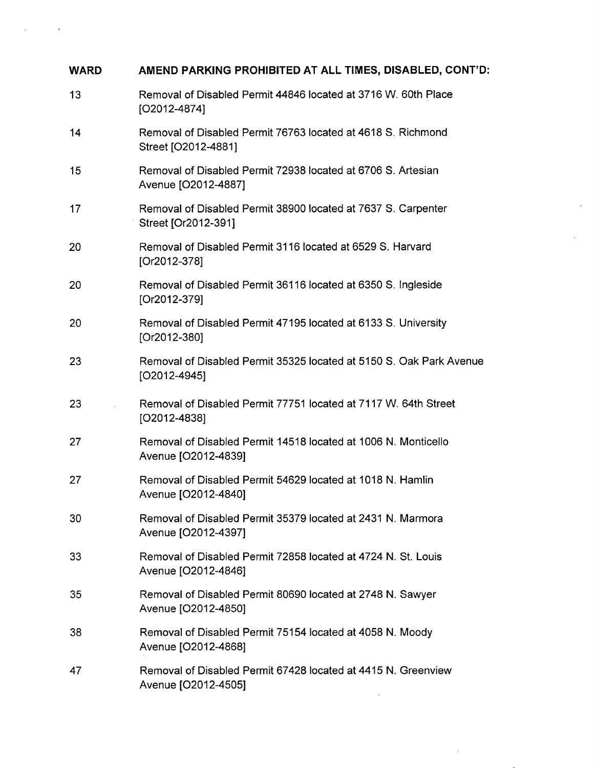| <b>WARD</b> | AMEND PARKING PROHIBITED AT ALL TIMES, DISABLED, CONT'D:                              |
|-------------|---------------------------------------------------------------------------------------|
| 13          | Removal of Disabled Permit 44846 located at 3716 W. 60th Place<br>$[O2012-4874]$      |
| 14          | Removal of Disabled Permit 76763 located at 4618 S. Richmond<br>Street [O2012-4881]   |
| 15          | Removal of Disabled Permit 72938 located at 6706 S. Artesian<br>Avenue [O2012-4887]   |
| 17          | Removal of Disabled Permit 38900 located at 7637 S. Carpenter<br>Street [Or2012-391]  |
| 20          | Removal of Disabled Permit 3116 located at 6529 S. Harvard<br>[Or2012-378]            |
| 20          | Removal of Disabled Permit 36116 located at 6350 S. Ingleside<br>[Or2012-379]         |
| 20          | Removal of Disabled Permit 47195 located at 6133 S. University<br>[Or2012-380]        |
| 23          | Removal of Disabled Permit 35325 located at 5150 S. Oak Park Avenue<br>$[O2012-4945]$ |
| 23          | Removal of Disabled Permit 77751 located at 7117 W. 64th Street<br>$[O2012 - 4838]$   |
| 27          | Removal of Disabled Permit 14518 located at 1006 N. Monticello<br>Avenue [O2012-4839] |
| 27          | Removal of Disabled Permit 54629 located at 1018 N. Hamlin<br>Avenue [O2012-4840]     |
| 30          | Removal of Disabled Permit 35379 located at 2431 N. Marmora<br>Avenue [O2012-4397]    |
| 33          | Removal of Disabled Permit 72858 located at 4724 N. St. Louis<br>Avenue [O2012-4846]  |
| 35          | Removal of Disabled Permit 80690 located at 2748 N. Sawyer<br>Avenue [O2012-4850]     |
| 38          | Removal of Disabled Permit 75154 located at 4058 N. Moody<br>Avenue [O2012-4868]      |
| 47          | Removal of Disabled Permit 67428 located at 4415 N. Greenview<br>Avenue [O2012-4505]  |
|             |                                                                                       |

 $\mathcal{A}^{\mathrm{c}}$ 

 $\sim 10^{-10}$ 

 $\mathcal{L}^{\text{max}}_{\text{max}}$ 

 $\chi^2_{\rm{max}}$  and  $\chi^2_{\rm{max}}$